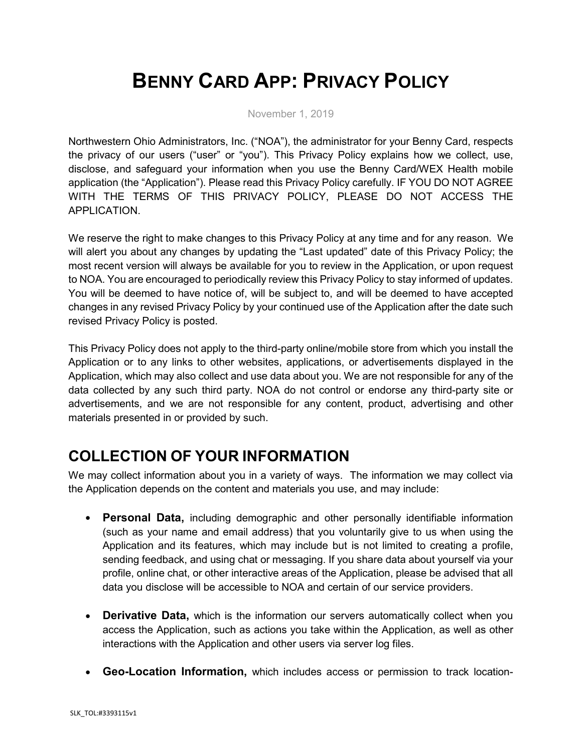# **BENNY CARD APP: PRIVACY POLICY**

November 1, 2019

Northwestern Ohio Administrators, Inc. ("NOA"), the administrator for your Benny Card, respects the privacy of our users ("user" or "you"). This Privacy Policy explains how we collect, use, disclose, and safeguard your information when you use the Benny Card/WEX Health mobile application (the "Application"). Please read this Privacy Policy carefully. IF YOU DO NOT AGREE WITH THE TERMS OF THIS PRIVACY POLICY, PLEASE DO NOT ACCESS THE APPLICATION.

We reserve the right to make changes to this Privacy Policy at any time and for any reason. We will alert you about any changes by updating the "Last updated" date of this Privacy Policy; the most recent version will always be available for you to review in the Application, or upon request to NOA. You are encouraged to periodically review this Privacy Policy to stay informed of updates. You will be deemed to have notice of, will be subject to, and will be deemed to have accepted changes in any revised Privacy Policy by your continued use of the Application after the date such revised Privacy Policy is posted.

This Privacy Policy does not apply to the third-party online/mobile store from which you install the Application or to any links to other websites, applications, or advertisements displayed in the Application, which may also collect and use data about you. We are not responsible for any of the data collected by any such third party. NOA do not control or endorse any third-party site or advertisements, and we are not responsible for any content, product, advertising and other materials presented in or provided by such.

## **COLLECTION OF YOUR INFORMATION**

We may collect information about you in a variety of ways. The information we may collect via the Application depends on the content and materials you use, and may include:

- **Personal Data,** including demographic and other personally identifiable information (such as your name and email address) that you voluntarily give to us when using the Application and its features, which may include but is not limited to creating a profile, sending feedback, and using chat or messaging. If you share data about yourself via your profile, online chat, or other interactive areas of the Application, please be advised that all data you disclose will be accessible to NOA and certain of our service providers.
- **Derivative Data,** which is the information our servers automatically collect when you access the Application, such as actions you take within the Application, as well as other interactions with the Application and other users via server log files.
- **Geo-Location Information,** which includes access or permission to track location-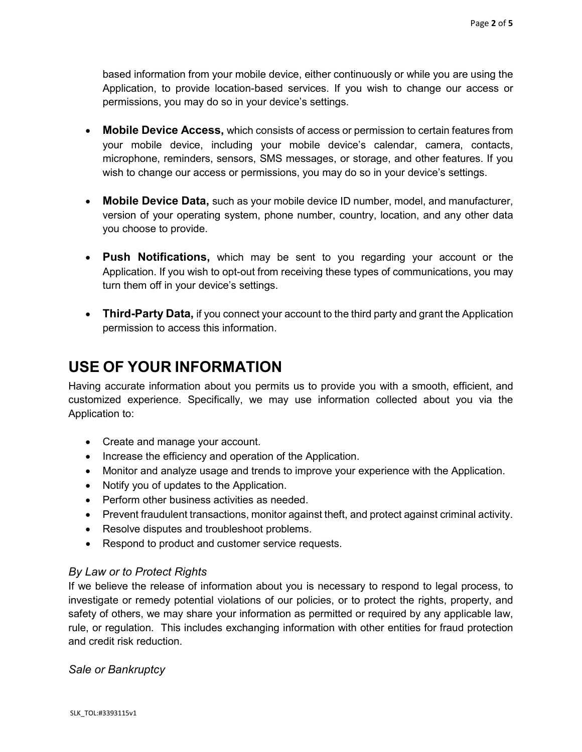based information from your mobile device, either continuously or while you are using the Application, to provide location-based services. If you wish to change our access or permissions, you may do so in your device's settings.

- **Mobile Device Access,** which consists of access or permission to certain features from your mobile device, including your mobile device's calendar, camera, contacts, microphone, reminders, sensors, SMS messages, or storage, and other features. If you wish to change our access or permissions, you may do so in your device's settings.
- **Mobile Device Data,** such as your mobile device ID number, model, and manufacturer, version of your operating system, phone number, country, location, and any other data you choose to provide.
- **Push Notifications,** which may be sent to you regarding your account or the Application. If you wish to opt-out from receiving these types of communications, you may turn them off in your device's settings.
- **Third-Party Data,** if you connect your account to the third party and grant the Application permission to access this information.

### **USE OF YOUR INFORMATION**

Having accurate information about you permits us to provide you with a smooth, efficient, and customized experience. Specifically, we may use information collected about you via the Application to:

- Create and manage your account.
- Increase the efficiency and operation of the Application.
- Monitor and analyze usage and trends to improve your experience with the Application.
- Notify you of updates to the Application.
- Perform other business activities as needed.
- Prevent fraudulent transactions, monitor against theft, and protect against criminal activity.
- Resolve disputes and troubleshoot problems.
- Respond to product and customer service requests.

#### *By Law or to Protect Rights*

If we believe the release of information about you is necessary to respond to legal process, to investigate or remedy potential violations of our policies, or to protect the rights, property, and safety of others, we may share your information as permitted or required by any applicable law, rule, or regulation. This includes exchanging information with other entities for fraud protection and credit risk reduction.

*Sale or Bankruptcy*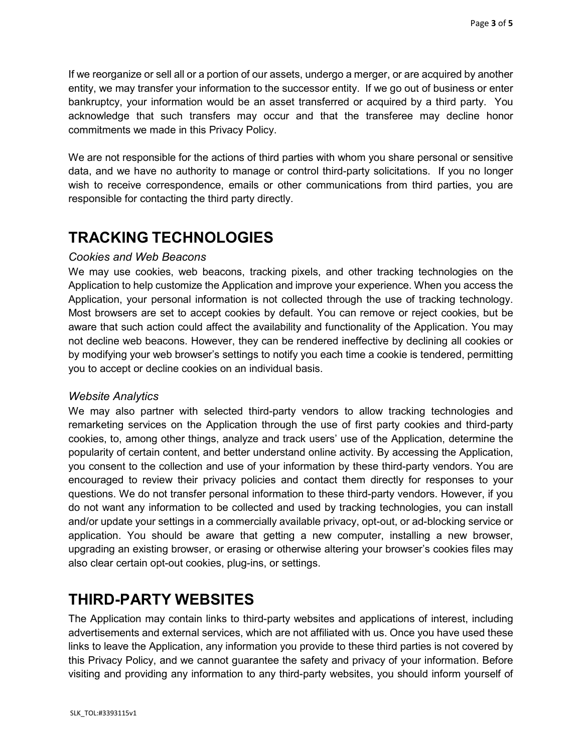If we reorganize or sell all or a portion of our assets, undergo a merger, or are acquired by another entity, we may transfer your information to the successor entity. If we go out of business or enter bankruptcy, your information would be an asset transferred or acquired by a third party. You acknowledge that such transfers may occur and that the transferee may decline honor commitments we made in this Privacy Policy.

We are not responsible for the actions of third parties with whom you share personal or sensitive data, and we have no authority to manage or control third-party solicitations. If you no longer wish to receive correspondence, emails or other communications from third parties, you are responsible for contacting the third party directly.

### **TRACKING TECHNOLOGIES**

#### *Cookies and Web Beacons*

We may use cookies, web beacons, tracking pixels, and other tracking technologies on the Application to help customize the Application and improve your experience. When you access the Application, your personal information is not collected through the use of tracking technology. Most browsers are set to accept cookies by default. You can remove or reject cookies, but be aware that such action could affect the availability and functionality of the Application. You may not decline web beacons. However, they can be rendered ineffective by declining all cookies or by modifying your web browser's settings to notify you each time a cookie is tendered, permitting you to accept or decline cookies on an individual basis.

#### *Website Analytics*

We may also partner with selected third-party vendors to allow tracking technologies and remarketing services on the Application through the use of first party cookies and third-party cookies, to, among other things, analyze and track users' use of the Application, determine the popularity of certain content, and better understand online activity. By accessing the Application, you consent to the collection and use of your information by these third-party vendors. You are encouraged to review their privacy policies and contact them directly for responses to your questions. We do not transfer personal information to these third-party vendors. However, if you do not want any information to be collected and used by tracking technologies, you can install and/or update your settings in a commercially available privacy, opt-out, or ad-blocking service or application. You should be aware that getting a new computer, installing a new browser, upgrading an existing browser, or erasing or otherwise altering your browser's cookies files may also clear certain opt-out cookies, plug-ins, or settings.

#### **THIRD-PARTY WEBSITES**

The Application may contain links to third-party websites and applications of interest, including advertisements and external services, which are not affiliated with us. Once you have used these links to leave the Application, any information you provide to these third parties is not covered by this Privacy Policy, and we cannot guarantee the safety and privacy of your information. Before visiting and providing any information to any third-party websites, you should inform yourself of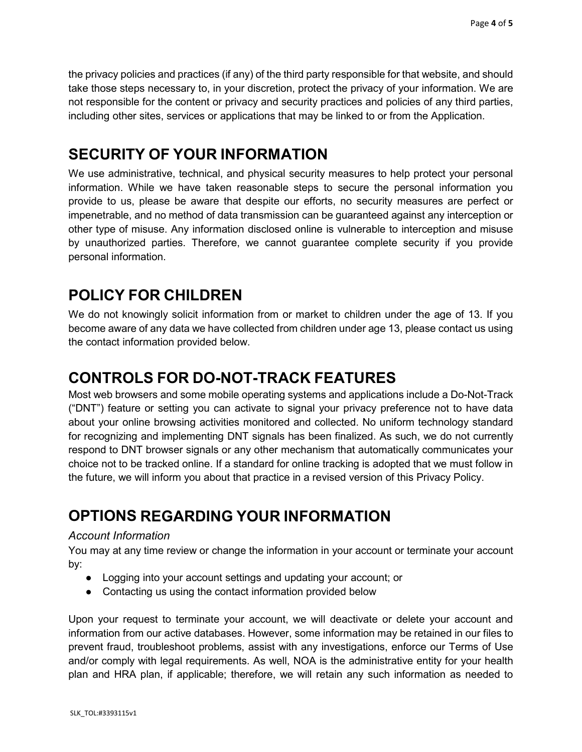the privacy policies and practices (if any) of the third party responsible for that website, and should take those steps necessary to, in your discretion, protect the privacy of your information. We are not responsible for the content or privacy and security practices and policies of any third parties, including other sites, services or applications that may be linked to or from the Application.

### **SECURITY OF YOUR INFORMATION**

We use administrative, technical, and physical security measures to help protect your personal information. While we have taken reasonable steps to secure the personal information you provide to us, please be aware that despite our efforts, no security measures are perfect or impenetrable, and no method of data transmission can be guaranteed against any interception or other type of misuse. Any information disclosed online is vulnerable to interception and misuse by unauthorized parties. Therefore, we cannot guarantee complete security if you provide personal information.

# **POLICY FOR CHILDREN**

We do not knowingly solicit information from or market to children under the age of 13. If you become aware of any data we have collected from children under age 13, please contact us using the contact information provided below.

## **CONTROLS FOR DO-NOT-TRACK FEATURES**

Most web browsers and some mobile operating systems and applications include a Do-Not-Track ("DNT") feature or setting you can activate to signal your privacy preference not to have data about your online browsing activities monitored and collected. No uniform technology standard for recognizing and implementing DNT signals has been finalized. As such, we do not currently respond to DNT browser signals or any other mechanism that automatically communicates your choice not to be tracked online. If a standard for online tracking is adopted that we must follow in the future, we will inform you about that practice in a revised version of this Privacy Policy.

## **OPTIONS REGARDING YOUR INFORMATION**

#### *Account Information*

You may at any time review or change the information in your account or terminate your account by:

- Logging into your account settings and updating your account; or
- Contacting us using the contact information provided below

Upon your request to terminate your account, we will deactivate or delete your account and information from our active databases. However, some information may be retained in our files to prevent fraud, troubleshoot problems, assist with any investigations, enforce our Terms of Use and/or comply with legal requirements. As well, NOA is the administrative entity for your health plan and HRA plan, if applicable; therefore, we will retain any such information as needed to